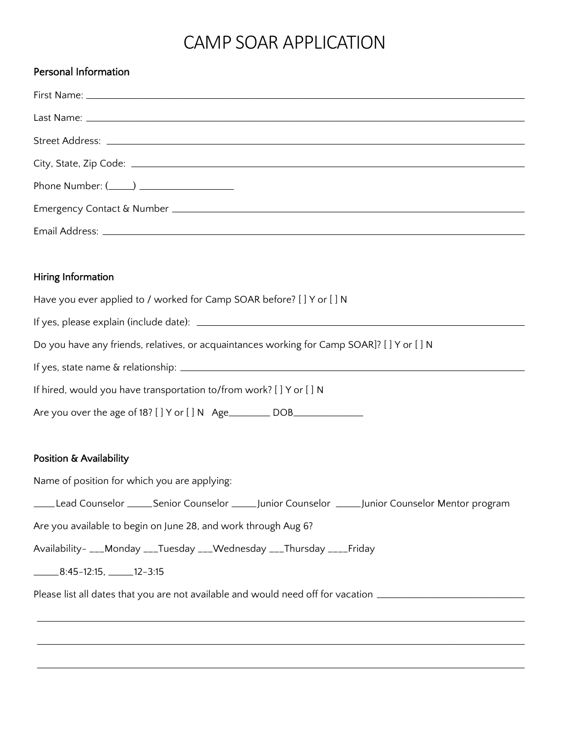## CAMP SOAR APPLICATION

| <b>Personal Information</b>                                                                       |
|---------------------------------------------------------------------------------------------------|
|                                                                                                   |
|                                                                                                   |
|                                                                                                   |
|                                                                                                   |
| Phone Number: (_____) ____________________                                                        |
|                                                                                                   |
|                                                                                                   |
|                                                                                                   |
| Hiring Information                                                                                |
| Have you ever applied to / worked for Camp SOAR before? [ ] Y or [ ] N                            |
|                                                                                                   |
| Do you have any friends, relatives, or acquaintances working for Camp SOAR]? [] Y or [] N         |
|                                                                                                   |
| If hired, would you have transportation to/from work? [ ] Y or [ ] N                              |
| Are you over the age of 18? [ ] Y or [ ] N Age _________ DOB____________________                  |
| Position & Availability                                                                           |
| Name of position for which you are applying:                                                      |
| Lead Counselor ______Senior Counselor ______Junior Counselor _____Junior Counselor Mentor program |
| Are you available to begin on June 28, and work through Aug 6?                                    |
| Availability- ___Monday ___Tuesday ___Wednesday ___Thursday ____Friday                            |
| $22 - 8:45 - 12:15$ , 2-3:15                                                                      |

Please list all dates that you are not available and would need off for vacation \_\_\_\_\_\_\_\_\_\_\_\_\_\_\_\_\_\_\_\_\_\_\_\_\_\_\_\_\_

\_\_\_\_\_\_\_\_\_\_\_\_\_\_\_\_\_\_\_\_\_\_\_\_\_\_\_\_\_\_\_\_\_\_\_\_\_\_\_\_\_\_\_\_\_\_\_\_\_\_\_\_\_\_\_\_\_\_\_\_\_\_\_\_\_\_\_\_\_\_\_\_\_\_\_\_\_\_\_\_\_\_\_\_\_\_\_\_\_\_\_\_\_\_\_\_\_\_\_\_\_\_\_\_\_\_\_\_\_\_\_\_\_\_\_\_\_\_\_

\_\_\_\_\_\_\_\_\_\_\_\_\_\_\_\_\_\_\_\_\_\_\_\_\_\_\_\_\_\_\_\_\_\_\_\_\_\_\_\_\_\_\_\_\_\_\_\_\_\_\_\_\_\_\_\_\_\_\_\_\_\_\_\_\_\_\_\_\_\_\_\_\_\_\_\_\_\_\_\_\_\_\_\_\_\_\_\_\_\_\_\_\_\_\_\_\_\_\_\_\_\_\_\_\_\_\_\_\_\_\_\_\_\_\_\_\_\_\_

\_\_\_\_\_\_\_\_\_\_\_\_\_\_\_\_\_\_\_\_\_\_\_\_\_\_\_\_\_\_\_\_\_\_\_\_\_\_\_\_\_\_\_\_\_\_\_\_\_\_\_\_\_\_\_\_\_\_\_\_\_\_\_\_\_\_\_\_\_\_\_\_\_\_\_\_\_\_\_\_\_\_\_\_\_\_\_\_\_\_\_\_\_\_\_\_\_\_\_\_\_\_\_\_\_\_\_\_\_\_\_\_\_\_\_\_\_\_\_